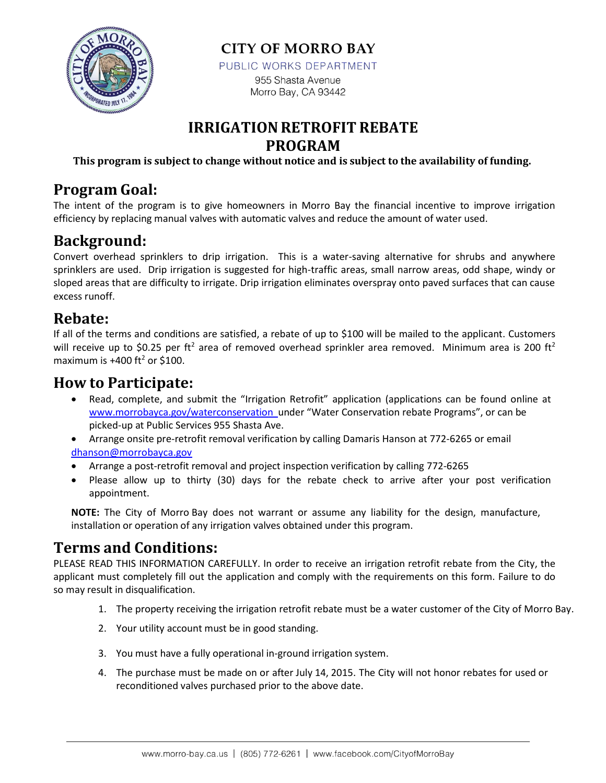

**CITY OF MORRO BAY** 

PUBLIC WORKS DEPARTMENT

955 Shasta Avenue Morro Bay, CA 93442

## **IRRIGATIONRETROFIT REBATE PROGRAM**

**This program is subject to change without notice and is subject to the availability of funding.**

# **Program Goal:**

The intent of the program is to give homeowners in Morro Bay the financial incentive to improve irrigation efficiency by replacing manual valves with automatic valves and reduce the amount of water used.

# **Background:**

Convert overhead sprinklers to drip irrigation. This is a water-saving alternative for shrubs and anywhere sprinklers are used. Drip irrigation is suggested for high-traffic areas, small narrow areas, odd shape, windy or sloped areas that are difficulty to irrigate. Drip irrigation eliminates overspray onto paved surfaces that can cause excess runoff.

## **Rebate:**

If all of the terms and conditions are satisfied, a rebate of up to \$100 will be mailed to the applicant. Customers will receive up to \$0.25 per ft<sup>2</sup> area of removed overhead sprinkler area removed. Minimum area is 200 ft<sup>2</sup> maximum is  $+400$  ft<sup>2</sup> or \$100.

#### **How to Participate:**

- Read, complete, and submit the "Irrigation Retrofit" application (applications can be found online at www.morrobayca.gov/waterconservation\_under "Water Conservation rebate Programs", or can be picked-up at Public Services 955 Shasta Ave.
- Arrange onsite pre-retrofit removal verification by calling Damaris Hanson at 772-6265 or email [dhanson@morrobayca.gov](mailto:dhanson@morrobayca.gov)
- Arrange a post-retrofit removal and project inspection verification by calling 772-6265
- Please allow up to thirty (30) days for the rebate check to arrive after your post verification appointment.

**NOTE:** The City of Morro Bay does not warrant or assume any liability for the design, manufacture, installation or operation of any irrigation valves obtained under this program.

# **Terms and Conditions:**

PLEASE READ THIS INFORMATION CAREFULLY. In order to receive an irrigation retrofit rebate from the City, the applicant must completely fill out the application and comply with the requirements on this form. Failure to do so may result in disqualification.

- 1. The property receiving the irrigation retrofit rebate must be a water customer of the City of Morro Bay.
- 2. Your utility account must be in good standing.
- 3. You must have a fully operational in-ground irrigation system.
- 4. The purchase must be made on or after July 14, 2015. The City will not honor rebates for used or reconditioned valves purchased prior to the above date.